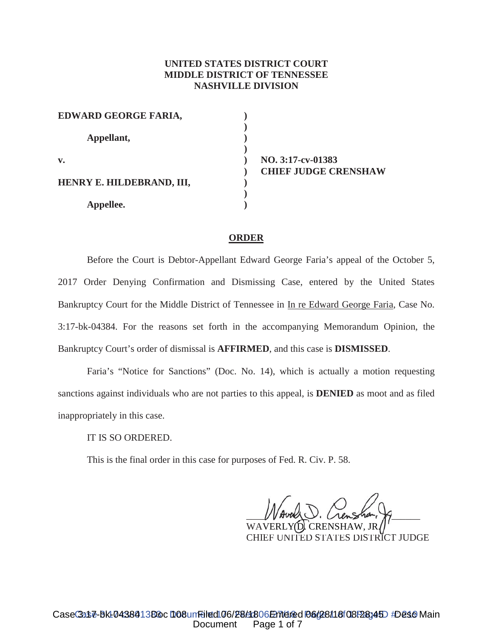# **UNITED STATES DISTRICT COURT MIDDLE DISTRICT OF TENNESSEE NASHVILLE DIVISION**

**) ) ) ) ) ) ) ) )**

| EDWARD GEORGE FARIA,      |  |
|---------------------------|--|
| Appellant,                |  |
| $\mathbf{v}$ .            |  |
| HENRY E. HILDEBRAND, III, |  |
| Appellee.                 |  |

**NO. 3:17-cv-01383 CHIEF JUDGE CRENSHAW**

### **ORDER**

Before the Court is Debtor-Appellant Edward George Faria's appeal of the October 5, 2017 Order Denying Confirmation and Dismissing Case, entered by the United States Bankruptcy Court for the Middle District of Tennessee in In re Edward George Faria, Case No. 3:17-bk-04384. For the reasons set forth in the accompanying Memorandum Opinion, the Bankruptcy Court's order of dismissal is **AFFIRMED**, and this case is **DISMISSED**.

Faria's "Notice for Sanctions" (Doc. No. 14), which is actually a motion requesting sanctions against individuals who are not parties to this appeal, is **DENIED** as moot and as filed inappropriately in this case.

IT IS SO ORDERED.

This is the final order in this case for purposes of Fed. R. Civ. P. 58.

 $V$  Avelle U. Crensha,  $H$ WAUER U. Crensha, P\_

WAVERLY(D WAVERLY**(D)**. CRENSHAW, JR*(*|'<br>CHIEF UNITED STATES DISTRICT JUDGE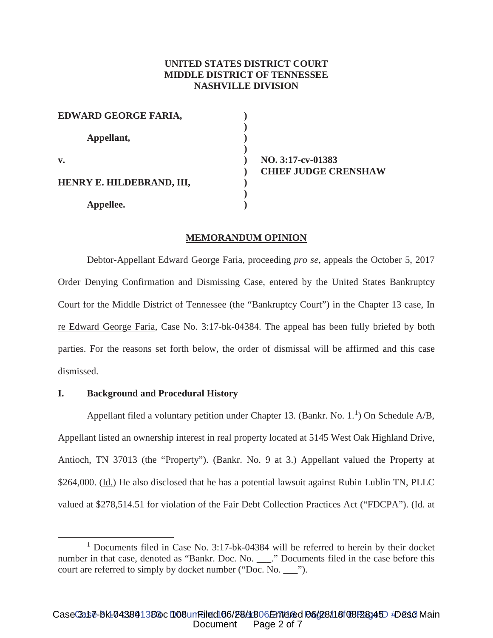# **UNITED STATES DISTRICT COURT MIDDLE DISTRICT OF TENNESSEE NASHVILLE DIVISION**

| EDWARD GEORGE FARIA,      |  |
|---------------------------|--|
| Appellant,                |  |
| $\mathbf{v}$ .            |  |
| HENRY E. HILDEBRAND, III, |  |
| Appellee.                 |  |

**NO. 3:17-cv-01383 CHIEF JUDGE CRENSHAW**

### **MEMORANDUM OPINION**

Debtor-Appellant Edward George Faria, proceeding *pro se*, appeals the October 5, 2017 Order Denying Confirmation and Dismissing Case, entered by the United States Bankruptcy Court for the Middle District of Tennessee (the "Bankruptcy Court") in the Chapter 13 case, In re Edward George Faria, Case No. 3:17-bk-04384. The appeal has been fully briefed by both parties. For the reasons set forth below, the order of dismissal will be affirmed and this case dismissed.

#### **I. Background and Procedural History**

Appellant filed a voluntary petition under Chapter 13. (Bankr. No.  $1<sup>1</sup>$ ) On Schedule A/B, Appellant listed an ownership interest in real property located at 5145 West Oak Highland Drive, Antioch, TN 37013 (the "Property"). (Bankr. No. 9 at 3.) Appellant valued the Property at \$264,000. (Id.) He also disclosed that he has a potential lawsuit against Rubin Lublin TN, PLLC valued at \$278,514.51 for violation of the Fair Debt Collection Practices Act ("FDCPA"). (Id. at

<sup>&</sup>lt;sup>1</sup> Documents filed in Case No. 3:17-bk-04384 will be referred to herein by their docket number in that case, denoted as "Bankr. Doc. No. \_\_\_..." Documents filed in the case before this court are referred to simply by docket number ("Doc. No. \_\_\_").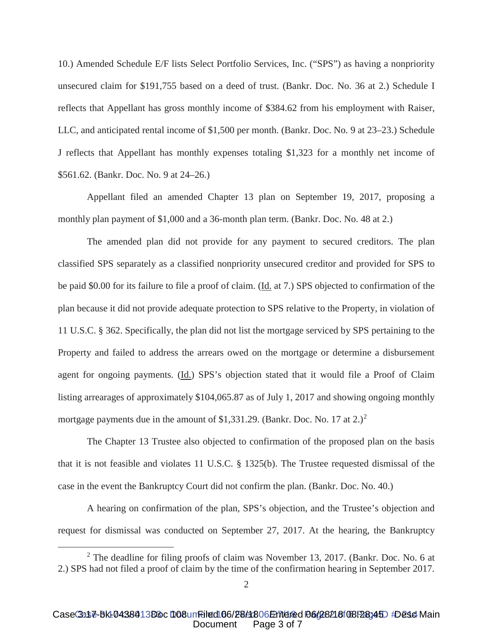10.) Amended Schedule E/F lists Select Portfolio Services, Inc. ("SPS") as having a nonpriority unsecured claim for \$191,755 based on a deed of trust. (Bankr. Doc. No. 36 at 2.) Schedule I reflects that Appellant has gross monthly income of \$384.62 from his employment with Raiser, LLC, and anticipated rental income of \$1,500 per month. (Bankr. Doc. No. 9 at 23–23.) Schedule J reflects that Appellant has monthly expenses totaling \$1,323 for a monthly net income of \$561.62. (Bankr. Doc. No. 9 at 24–26.)

Appellant filed an amended Chapter 13 plan on September 19, 2017, proposing a monthly plan payment of \$1,000 and a 36-month plan term. (Bankr. Doc. No. 48 at 2.)

The amended plan did not provide for any payment to secured creditors. The plan classified SPS separately as a classified nonpriority unsecured creditor and provided for SPS to be paid \$0.00 for its failure to file a proof of claim. (Id. at 7.) SPS objected to confirmation of the plan because it did not provide adequate protection to SPS relative to the Property, in violation of 11 U.S.C. § 362. Specifically, the plan did not list the mortgage serviced by SPS pertaining to the Property and failed to address the arrears owed on the mortgage or determine a disbursement agent for ongoing payments. (Id.) SPS's objection stated that it would file a Proof of Claim listing arrearages of approximately \$104,065.87 as of July 1, 2017 and showing ongoing monthly mortgage payments due in the amount of \$1,331.29. (Bankr. Doc. No. 17 at  $2.$ )<sup>2</sup>

The Chapter 13 Trustee also objected to confirmation of the proposed plan on the basis that it is not feasible and violates 11 U.S.C. § 1325(b). The Trustee requested dismissal of the case in the event the Bankruptcy Court did not confirm the plan. (Bankr. Doc. No. 40.)

A hearing on confirmation of the plan, SPS's objection, and the Trustee's objection and request for dismissal was conducted on September 27, 2017. At the hearing, the Bankruptcy

<sup>&</sup>lt;sup>2</sup> The deadline for filing proofs of claim was November 13, 2017. (Bankr. Doc. No. 6 at 2.) SPS had not filed a proof of claim by the time of the confirmation hearing in September 2017.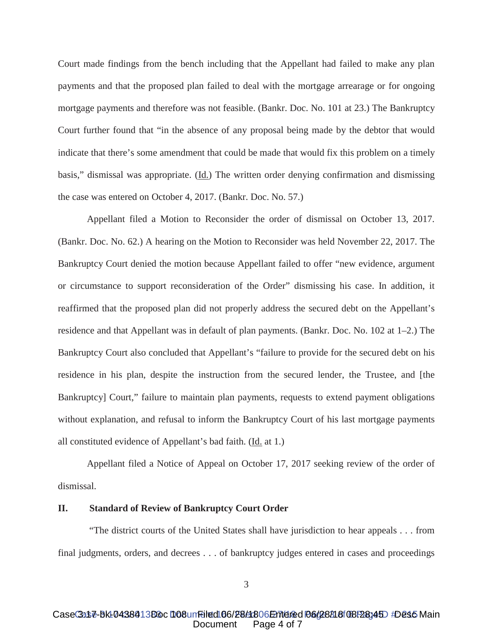Court made findings from the bench including that the Appellant had failed to make any plan payments and that the proposed plan failed to deal with the mortgage arrearage or for ongoing mortgage payments and therefore was not feasible. (Bankr. Doc. No. 101 at 23.) The Bankruptcy Court further found that "in the absence of any proposal being made by the debtor that would indicate that there's some amendment that could be made that would fix this problem on a timely basis," dismissal was appropriate. (Id.) The written order denying confirmation and dismissing the case was entered on October 4, 2017. (Bankr. Doc. No. 57.)

Appellant filed a Motion to Reconsider the order of dismissal on October 13, 2017. (Bankr. Doc. No. 62.) A hearing on the Motion to Reconsider was held November 22, 2017. The Bankruptcy Court denied the motion because Appellant failed to offer "new evidence, argument or circumstance to support reconsideration of the Order" dismissing his case. In addition, it reaffirmed that the proposed plan did not properly address the secured debt on the Appellant's residence and that Appellant was in default of plan payments. (Bankr. Doc. No. 102 at 1–2.) The Bankruptcy Court also concluded that Appellant's "failure to provide for the secured debt on his residence in his plan, despite the instruction from the secured lender, the Trustee, and [the Bankruptcy] Court," failure to maintain plan payments, requests to extend payment obligations without explanation, and refusal to inform the Bankruptcy Court of his last mortgage payments all constituted evidence of Appellant's bad faith. (Id. at 1.)

Appellant filed a Notice of Appeal on October 17, 2017 seeking review of the order of dismissal.

## **II. Standard of Review of Bankruptcy Court Order**

"The district courts of the United States shall have jurisdiction to hear appeals . . . from final judgments, orders, and decrees . . . of bankruptcy judges entered in cases and proceedings

#### Case 3:17-bk-0438413Boc 108 un Filed 06/28/1806 Entered 06/28/18 OBF28345 #Desc Main Case 3:17-cv-01384 Desc M<br>Document Page 4 of 7 Page 4 of 7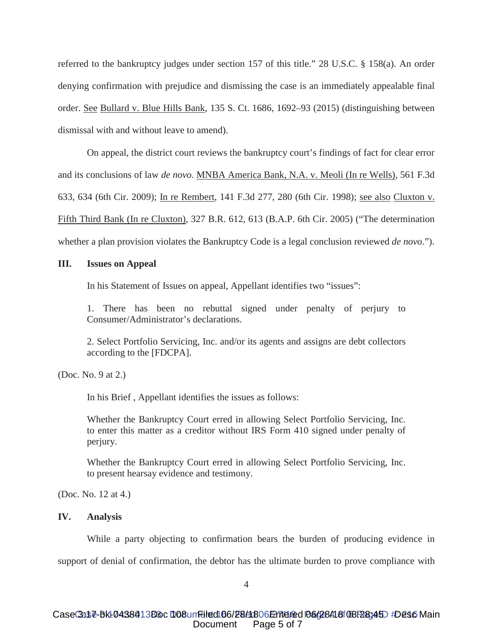referred to the bankruptcy judges under section 157 of this title." 28 U.S.C. § 158(a). An order denying confirmation with prejudice and dismissing the case is an immediately appealable final order. See Bullard v. Blue Hills Bank, 135 S. Ct. 1686, 1692–93 (2015) (distinguishing between dismissal with and without leave to amend).

On appeal, the district court reviews the bankruptcy court's findings of fact for clear error and its conclusions of law *de novo*. MNBA America Bank, N.A. v. Meoli (In re Wells), 561 F.3d 633, 634 (6th Cir. 2009); In re Rembert, 141 F.3d 277, 280 (6th Cir. 1998); see also Cluxton v. Fifth Third Bank (In re Cluxton), 327 B.R. 612, 613 (B.A.P. 6th Cir. 2005) ("The determination whether a plan provision violates the Bankruptcy Code is a legal conclusion reviewed *de novo*.").

#### **III. Issues on Appeal**

In his Statement of Issues on appeal, Appellant identifies two "issues":

1. There has been no rebuttal signed under penalty of perjury to Consumer/Administrator's declarations.

2. Select Portfolio Servicing, Inc. and/or its agents and assigns are debt collectors according to the [FDCPA].

(Doc. No. 9 at 2.)

In his Brief , Appellant identifies the issues as follows:

Whether the Bankruptcy Court erred in allowing Select Portfolio Servicing, Inc. to enter this matter as a creditor without IRS Form 410 signed under penalty of perjury.

Whether the Bankruptcy Court erred in allowing Select Portfolio Servicing, Inc. to present hearsay evidence and testimony.

(Doc. No. 12 at 4.)

## **IV. Analysis**

While a party objecting to confirmation bears the burden of producing evidence in support of denial of confirmation, the debtor has the ultimate burden to prove compliance with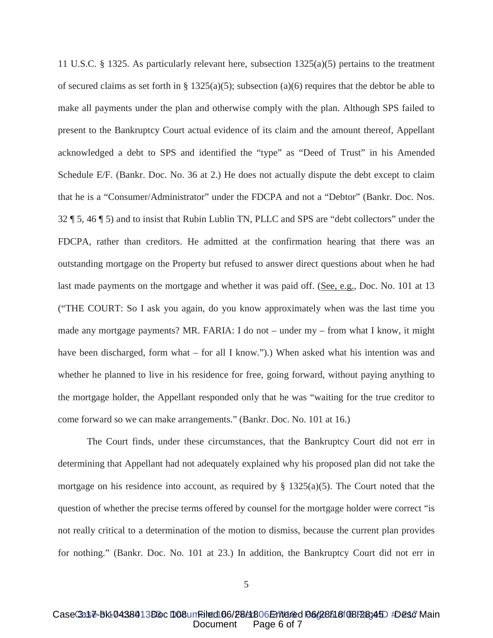11 U.S.C. § 1325. As particularly relevant here, subsection 1325(a)(5) pertains to the treatment of secured claims as set forth in § 1325(a)(5); subsection (a)(6) requires that the debtor be able to make all payments under the plan and otherwise comply with the plan. Although SPS failed to present to the Bankruptcy Court actual evidence of its claim and the amount thereof, Appellant acknowledged a debt to SPS and identified the "type" as "Deed of Trust" in his Amended Schedule E/F. (Bankr. Doc. No. 36 at 2.) He does not actually dispute the debt except to claim that he is a "Consumer/Administrator" under the FDCPA and not a "Debtor" (Bankr. Doc. Nos. 32 ¶ 5, 46 ¶ 5) and to insist that Rubin Lublin TN, PLLC and SPS are "debt collectors" under the FDCPA, rather than creditors. He admitted at the confirmation hearing that there was an outstanding mortgage on the Property but refused to answer direct questions about when he had last made payments on the mortgage and whether it was paid off. (See, e.g., Doc. No. 101 at 13 ("THE COURT: So I ask you again, do you know approximately when was the last time you made any mortgage payments? MR. FARIA: I do not – under my – from what I know, it might have been discharged, form what – for all I know.").) When asked what his intention was and whether he planned to live in his residence for free, going forward, without paying anything to the mortgage holder, the Appellant responded only that he was "waiting for the true creditor to come forward so we can make arrangements." (Bankr. Doc. No. 101 at 16.)

The Court finds, under these circumstances, that the Bankruptcy Court did not err in determining that Appellant had not adequately explained why his proposed plan did not take the mortgage on his residence into account, as required by  $\S$  1325(a)(5). The Court noted that the question of whether the precise terms offered by counsel for the mortgage holder were correct "is not really critical to a determination of the motion to dismiss, because the current plan provides for nothing." (Bankr. Doc. No. 101 at 23.) In addition, the Bankruptcy Court did not err in